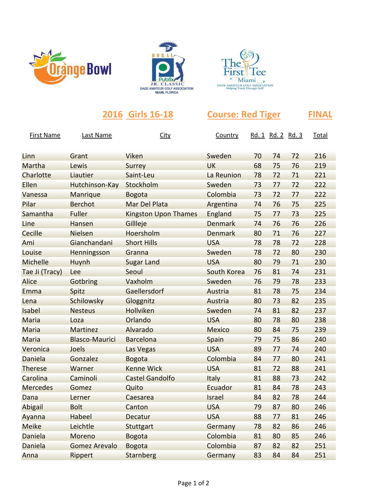





|                   | 2016 Girls 16-18      |                             | <b>Course: Red Tiger</b> |    |                   |    | FINAL |  |
|-------------------|-----------------------|-----------------------------|--------------------------|----|-------------------|----|-------|--|
| <b>First Name</b> | <b>Last Name</b>      | <b>City</b>                 | Country                  |    | Rd. 1 Rd. 2 Rd. 3 |    | Total |  |
| Linn              | Grant                 | Viken                       | Sweden                   | 70 | 74                | 72 | 216   |  |
| Martha            | Lewis                 | Surrey                      | <b>UK</b>                | 68 | 75                | 76 | 219   |  |
| Charlotte         | Liautier              | Saint-Leu                   | La Reunion               | 78 | 72                | 71 | 221   |  |
| Ellen             | Hutchinson-Kay        | Stockholm                   | Sweden                   | 73 | 77                | 72 | 222   |  |
| Vanessa           | Manrique              | <b>Bogota</b>               | Colombia                 | 73 | 72                | 77 | 222   |  |
| Pilar             | <b>Berchot</b>        | Mar Del Plata               | Argentina                | 74 | 76                | 75 | 225   |  |
| Samantha          | <b>Fuller</b>         | <b>Kingston Upon Thames</b> | England                  | 75 | 77                | 73 | 225   |  |
| Line              | Hansen                | Gillleje                    | Denmark                  | 74 | 76                | 76 | 226   |  |
| Cecille           | Nielsen               | Hoersholm                   | Denmark                  | 80 | 71                | 76 | 227   |  |
| Ami               | Gianchandani          | <b>Short Hills</b>          | <b>USA</b>               | 78 | 78                | 72 | 228   |  |
| Louise            | Henningsson           | Granna                      | Sweden                   | 78 | 72                | 80 | 230   |  |
| Michelle          | Huynh                 | <b>Sugar Land</b>           | <b>USA</b>               | 80 | 79                | 71 | 230   |  |
| Tae Ji (Tracy)    | Lee                   | Seoul                       | South Korea              | 76 | 81                | 74 | 231   |  |
| Alice             | Gotbring              | Vaxholm                     | Sweden                   | 76 | 79                | 78 | 233   |  |
| Emma              | Spitz                 | Gaellersdorf                | Austria                  | 81 | 78                | 75 | 234   |  |
| Lena              | Schilowsky            | Gloggnitz                   | Austria                  | 80 | 73                | 82 | 235   |  |
| Isabel            | <b>Nesteus</b>        | Hollviken                   | Sweden                   | 74 | 81                | 82 | 237   |  |
| Maria             | Loza                  | Orlando                     | <b>USA</b>               | 80 | 78                | 80 | 238   |  |
| Maria             | <b>Martinez</b>       | Alvarado                    | <b>Mexico</b>            | 80 | 84                | 75 | 239   |  |
| Maria             | <b>Blasco-Maurici</b> | <b>Barcelona</b>            | Spain                    | 79 | 75                | 86 | 240   |  |
| Veronica          | Joels                 | Las Vegas                   | <b>USA</b>               | 89 | 77                | 74 | 240   |  |
| Daniela           | Gonzalez              | <b>Bogota</b>               | Colombia                 | 84 | 77                | 80 | 241   |  |
| <b>Therese</b>    | Warner                | <b>Kenne Wick</b>           | <b>USA</b>               | 81 | 72                | 88 | 241   |  |
| Carolina          | Caminoli              | <b>Castel Gandolfo</b>      | Italy                    | 81 | 88                | 73 | 242   |  |
| <b>Mercedes</b>   | Gomez                 | Quito                       | Ecuador                  | 81 | 84                | 78 | 243   |  |
| Dana              | Lerner                | Caesarea                    | Israel                   | 84 | 82                | 78 | 244   |  |
| Abigail           | <b>Bolt</b>           | Canton                      | <b>USA</b>               | 79 | 87                | 80 | 246   |  |
| Ayanna            | Habeel                | Decatur                     | <b>USA</b>               | 88 | 77                | 81 | 246   |  |
| <b>Meike</b>      | Leichtle              | Stuttgart                   | Germany                  | 78 | 82                | 86 | 246   |  |
| Daniela           | Moreno                | <b>Bogota</b>               | Colombia                 | 81 | 80                | 85 | 246   |  |
| Daniela           | <b>Gomez Arevalo</b>  | <b>Bogota</b>               | Colombia                 | 87 | 82                | 82 | 251   |  |

Anna Rippert Starnberg Germany 83 84 84 251